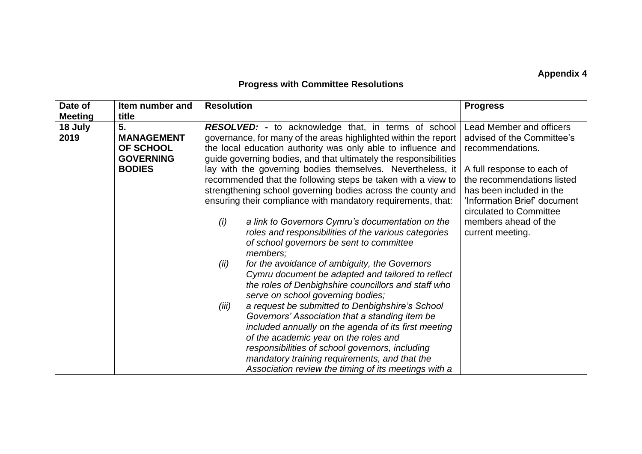## **Appendix 4**

## **Progress with Committee Resolutions**

| <b>Meeting</b><br>title                                                                                                                                                                                                                                                                                                                                                                                                                                                                                                                                                                                                                                                                                                                                                                                                                                                                                                                                                                                                                                                                                                                                                                                                                                             |                                                            |
|---------------------------------------------------------------------------------------------------------------------------------------------------------------------------------------------------------------------------------------------------------------------------------------------------------------------------------------------------------------------------------------------------------------------------------------------------------------------------------------------------------------------------------------------------------------------------------------------------------------------------------------------------------------------------------------------------------------------------------------------------------------------------------------------------------------------------------------------------------------------------------------------------------------------------------------------------------------------------------------------------------------------------------------------------------------------------------------------------------------------------------------------------------------------------------------------------------------------------------------------------------------------|------------------------------------------------------------|
|                                                                                                                                                                                                                                                                                                                                                                                                                                                                                                                                                                                                                                                                                                                                                                                                                                                                                                                                                                                                                                                                                                                                                                                                                                                                     |                                                            |
| 18 July<br>5.<br><b>RESOLVED:</b> - to acknowledge that, in terms of school<br>2019<br>governance, for many of the areas highlighted within the report<br><b>MANAGEMENT</b><br>the local education authority was only able to influence and<br>OF SCHOOL<br>recommendations.                                                                                                                                                                                                                                                                                                                                                                                                                                                                                                                                                                                                                                                                                                                                                                                                                                                                                                                                                                                        | Lead Member and officers<br>advised of the Committee's     |
| guide governing bodies, and that ultimately the responsibilities<br><b>GOVERNING</b><br>lay with the governing bodies themselves. Nevertheless, it<br><b>BODIES</b><br>A full response to each of<br>recommended that the following steps be taken with a view to<br>strengthening school governing bodies across the county and<br>has been included in the<br>ensuring their compliance with mandatory requirements, that:<br>circulated to Committee<br>a link to Governors Cymru's documentation on the<br>members ahead of the<br>(i)<br>roles and responsibilities of the various categories<br>current meeting.<br>of school governors be sent to committee<br>members;<br>for the avoidance of ambiguity, the Governors<br>(ii)<br>Cymru document be adapted and tailored to reflect<br>the roles of Denbighshire councillors and staff who<br>serve on school governing bodies;<br>a request be submitted to Denbighshire's School<br>(iii)<br>Governors' Association that a standing item be<br>included annually on the agenda of its first meeting<br>of the academic year on the roles and<br>responsibilities of school governors, including<br>mandatory training requirements, and that the<br>Association review the timing of its meetings with a | the recommendations listed<br>'Information Brief' document |